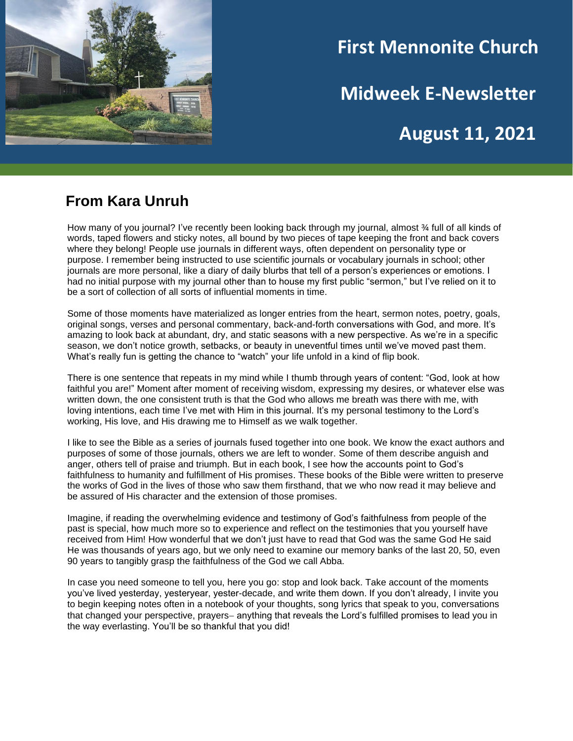

# **First Mennonite Church**

**Midweek E-Newsletter**

**August 11, 2021**

### **From Kara Unruh**

How many of you journal? I've recently been looking back through my journal, almost % full of all kinds of words, taped flowers and sticky notes, all bound by two pieces of tape keeping the front and back covers where they belong! People use journals in different ways, often dependent on personality type or purpose. I remember being instructed to use scientific journals or vocabulary journals in school; other journals are more personal, like a diary of daily blurbs that tell of a person's experiences or emotions. I had no initial purpose with my journal other than to house my first public "sermon," but I've relied on it to be a sort of collection of all sorts of influential moments in time.

Some of those moments have materialized as longer entries from the heart, sermon notes, poetry, goals, original songs, verses and personal commentary, back-and-forth conversations with God, and more. It's amazing to look back at abundant, dry, and static seasons with a new perspective. As we're in a specific season, we don't notice growth, setbacks, or beauty in uneventful times until we've moved past them. What's really fun is getting the chance to "watch" your life unfold in a kind of flip book.

There is one sentence that repeats in my mind while I thumb through years of content: "God, look at how faithful you are!" Moment after moment of receiving wisdom, expressing my desires, or whatever else was written down, the one consistent truth is that the God who allows me breath was there with me, with loving intentions, each time I've met with Him in this journal. It's my personal testimony to the Lord's working, His love, and His drawing me to Himself as we walk together.

I like to see the Bible as a series of journals fused together into one book. We know the exact authors and purposes of some of those journals, others we are left to wonder. Some of them describe anguish and anger, others tell of praise and triumph. But in each book, I see how the accounts point to God's faithfulness to humanity and fulfillment of His promises. These books of the Bible were written to preserve the works of God in the lives of those who saw them firsthand, that we who now read it may believe and be assured of His character and the extension of those promises.

Imagine, if reading the overwhelming evidence and testimony of God's faithfulness from people of the past is special, how much more so to experience and reflect on the testimonies that you yourself have received from Him! How wonderful that we don't just have to read that God was the same God He said He was thousands of years ago, but we only need to examine our memory banks of the last 20, 50, even 90 years to tangibly grasp the faithfulness of the God we call Abba.

In case you need someone to tell you, here you go: stop and look back. Take account of the moments you've lived yesterday, yesteryear, yester-decade, and write them down. If you don't already, I invite you to begin keeping notes often in a notebook of your thoughts, song lyrics that speak to you, conversations that changed your perspective, prayers− anything that reveals the Lord's fulfilled promises to lead you in the way everlasting. You'll be so thankful that you did!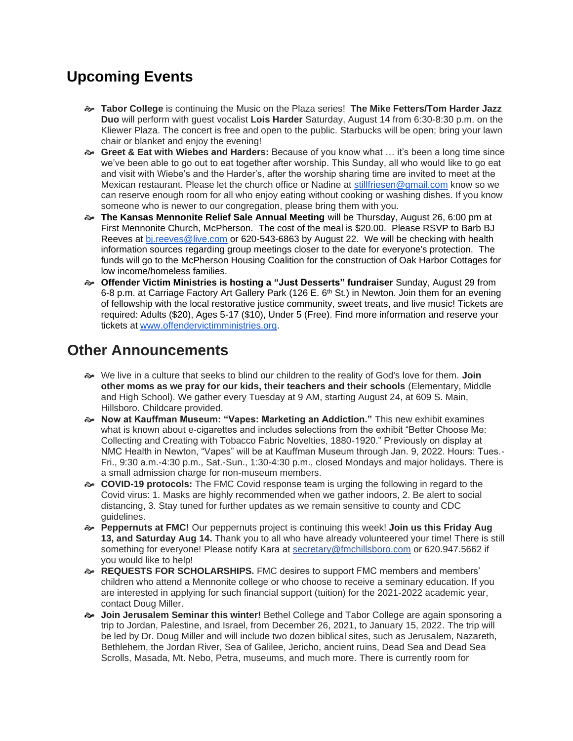## **Upcoming Events**

- **Tabor College** is continuing the Music on the Plaza series! **The Mike Fetters/Tom Harder Jazz Duo** will perform with guest vocalist **Lois Harder** Saturday, August 14 from 6:30-8:30 p.m. on the Kliewer Plaza. The concert is free and open to the public. Starbucks will be open; bring your lawn chair or blanket and enjoy the evening!
- **Greet & Eat with Wiebes and Harders:** Because of you know what … it's been a long time since we've been able to go out to eat together after worship. This Sunday, all who would like to go eat and visit with Wiebe's and the Harder's, after the worship sharing time are invited to meet at the Mexican restaurant. Please let the church office or Nadine at [stillfriesen@gmail.com](mailto:stillfriesen@gmail.com) know so we can reserve enough room for all who enjoy eating without cooking or washing dishes. If you know someone who is newer to our congregation, please bring them with you.
- **The Kansas Mennonite Relief Sale Annual Meeting** will be Thursday, August 26, 6:00 pm at First Mennonite Church, McPherson. The cost of the meal is \$20.00. Please RSVP to Barb BJ Reeves at [bj.reeves@live.com](mailto:bj.reeves@live.com) or 620-543-6863 by August 22. We will be checking with health information sources regarding group meetings closer to the date for everyone's protection. The funds will go to the McPherson Housing Coalition for the construction of Oak Harbor Cottages for low income/homeless families.
- **Offender Victim Ministries is hosting a "Just Desserts" fundraiser** Sunday, August 29 from 6-8 p.m. at Carriage Factory Art Gallery Park (126 E. 6<sup>th</sup> St.) in Newton. Join them for an evening of fellowship with the local restorative justice community, sweet treats, and live music! Tickets are required: Adults (\$20), Ages 5-17 (\$10), Under 5 (Free). Find more information and reserve your tickets at [www.offendervictimministries.org.](http://www.offendervictimministries.org/)

### **Other Announcements**

- We live in a culture that seeks to blind our children to the reality of God's love for them. **Join other moms as we pray for our kids, their teachers and their schools** (Elementary, Middle and High School). We gather every Tuesday at 9 AM, starting August 24, at 609 S. Main, Hillsboro. Childcare provided.
- **Now at Kauffman Museum: "Vapes: Marketing an Addiction."** This new exhibit examines what is known about e-cigarettes and includes selections from the exhibit "Better Choose Me: Collecting and Creating with Tobacco Fabric Novelties, 1880-1920." Previously on display at NMC Health in Newton, "Vapes" will be at Kauffman Museum through Jan. 9, 2022. Hours: Tues.- Fri., 9:30 a.m.-4:30 p.m., Sat.-Sun., 1:30-4:30 p.m., closed Mondays and major holidays. There is a small admission charge for non-museum members.
- **COVID-19 protocols:** The FMC Covid response team is urging the following in regard to the Covid virus: 1. Masks are highly recommended when we gather indoors, 2. Be alert to social distancing, 3. Stay tuned for further updates as we remain sensitive to county and CDC guidelines.
- **Peppernuts at FMC!** Our peppernuts project is continuing this week! **Join us this Friday Aug 13, and Saturday Aug 14.** Thank you to all who have already volunteered your time! There is still something for everyone! Please notify Kara at secretary@fmchillsboro.com or 620.947.5662 if you would like to help!
- **REQUESTS FOR SCHOLARSHIPS.** FMC desires to support FMC members and members' children who attend a Mennonite college or who choose to receive a seminary education. If you are interested in applying for such financial support (tuition) for the 2021-2022 academic year, contact Doug Miller.
- **Join Jerusalem Seminar this winter!** Bethel College and Tabor College are again sponsoring a trip to Jordan, Palestine, and Israel, from December 26, 2021, to January 15, 2022. The trip will be led by Dr. Doug Miller and will include two dozen biblical sites, such as Jerusalem, Nazareth, Bethlehem, the Jordan River, Sea of Galilee, Jericho, ancient ruins, Dead Sea and Dead Sea Scrolls, Masada, Mt. Nebo, Petra, museums, and much more. There is currently room for